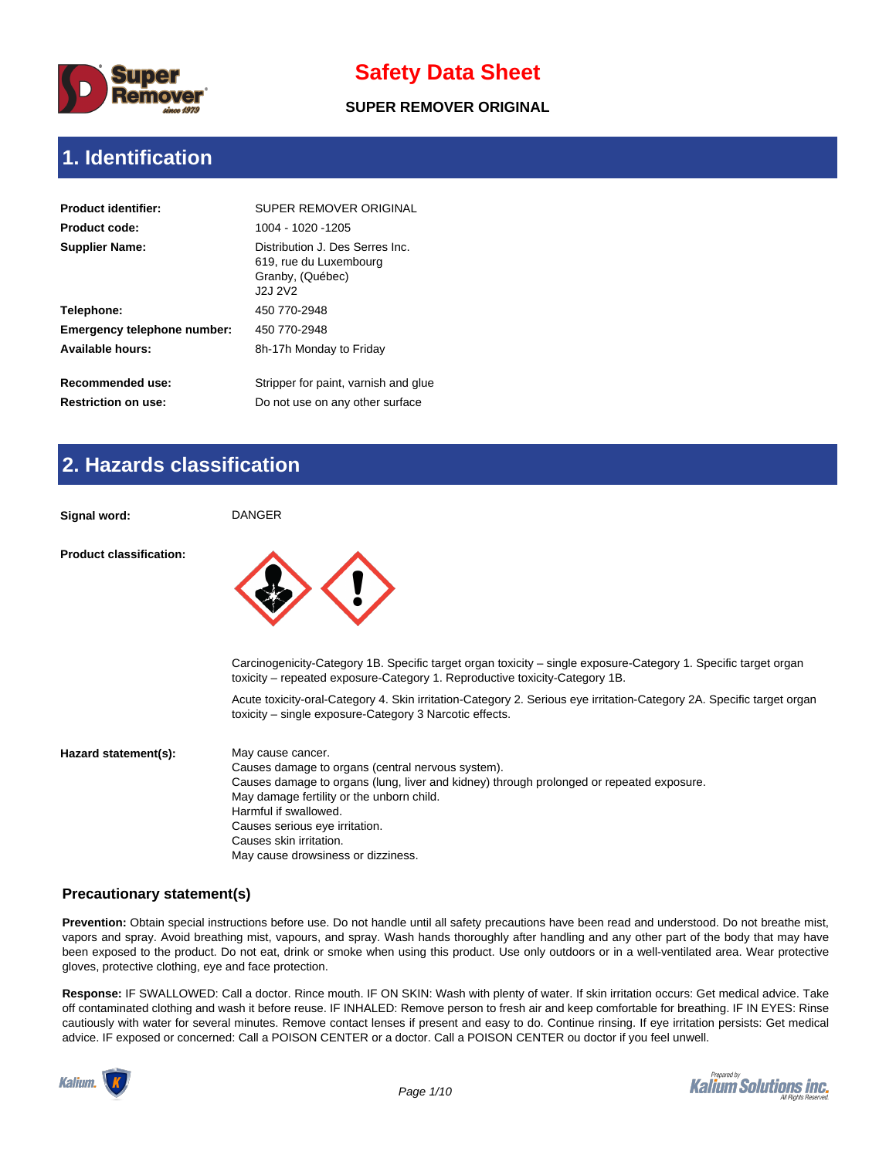

#### **SUPER REMOVER ORIGINAL**

### **1. Identification**

| <b>Product identifier:</b>                     | SUPER REMOVER ORIGINAL                                                                   |
|------------------------------------------------|------------------------------------------------------------------------------------------|
| <b>Product code:</b>                           | 1004 - 1020 - 1205                                                                       |
| <b>Supplier Name:</b>                          | Distribution J. Des Serres Inc.<br>619, rue du Luxembourg<br>Granby, (Québec)<br>J2J 2V2 |
| Telephone:                                     | 450 770-2948                                                                             |
| Emergency telephone number:                    | 450 770-2948                                                                             |
| Available hours:                               | 8h-17h Monday to Friday                                                                  |
| Recommended use:<br><b>Restriction on use:</b> | Stripper for paint, varnish and glue<br>Do not use on any other surface                  |

## **2. Hazards classification**

**Signal word:** DANGER

**Product classification:**



Carcinogenicity-Category 1B. Specific target organ toxicity – single exposure-Category 1. Specific target organ toxicity – repeated exposure-Category 1. Reproductive toxicity-Category 1B.

Acute toxicity-oral-Category 4. Skin irritation-Category 2. Serious eye irritation-Category 2A. Specific target organ toxicity – single exposure-Category 3 Narcotic effects.

| Hazard statement(s): | May cause cancer.                                                                        |
|----------------------|------------------------------------------------------------------------------------------|
|                      | Causes damage to organs (central nervous system).                                        |
|                      | Causes damage to organs (lung, liver and kidney) through prolonged or repeated exposure. |
|                      | May damage fertility or the unborn child.                                                |
|                      | Harmful if swallowed.                                                                    |
|                      | Causes serious eye irritation.                                                           |
|                      | Causes skin irritation.                                                                  |
|                      | May cause drowsiness or dizziness.                                                       |

#### **Precautionary statement(s)**

**Prevention:** Obtain special instructions before use. Do not handle until all safety precautions have been read and understood. Do not breathe mist, vapors and spray. Avoid breathing mist, vapours, and spray. Wash hands thoroughly after handling and any other part of the body that may have been exposed to the product. Do not eat, drink or smoke when using this product. Use only outdoors or in a well-ventilated area. Wear protective gloves, protective clothing, eye and face protection.

**Response:** IF SWALLOWED: Call a doctor. Rince mouth. IF ON SKIN: Wash with plenty of water. If skin irritation occurs: Get medical advice. Take off contaminated clothing and wash it before reuse. IF INHALED: Remove person to fresh air and keep comfortable for breathing. IF IN EYES: Rinse cautiously with water for several minutes. Remove contact lenses if present and easy to do. Continue rinsing. If eye irritation persists: Get medical advice. IF exposed or concerned: Call a POISON CENTER or a doctor. Call a POISON CENTER ou doctor if you feel unwell.



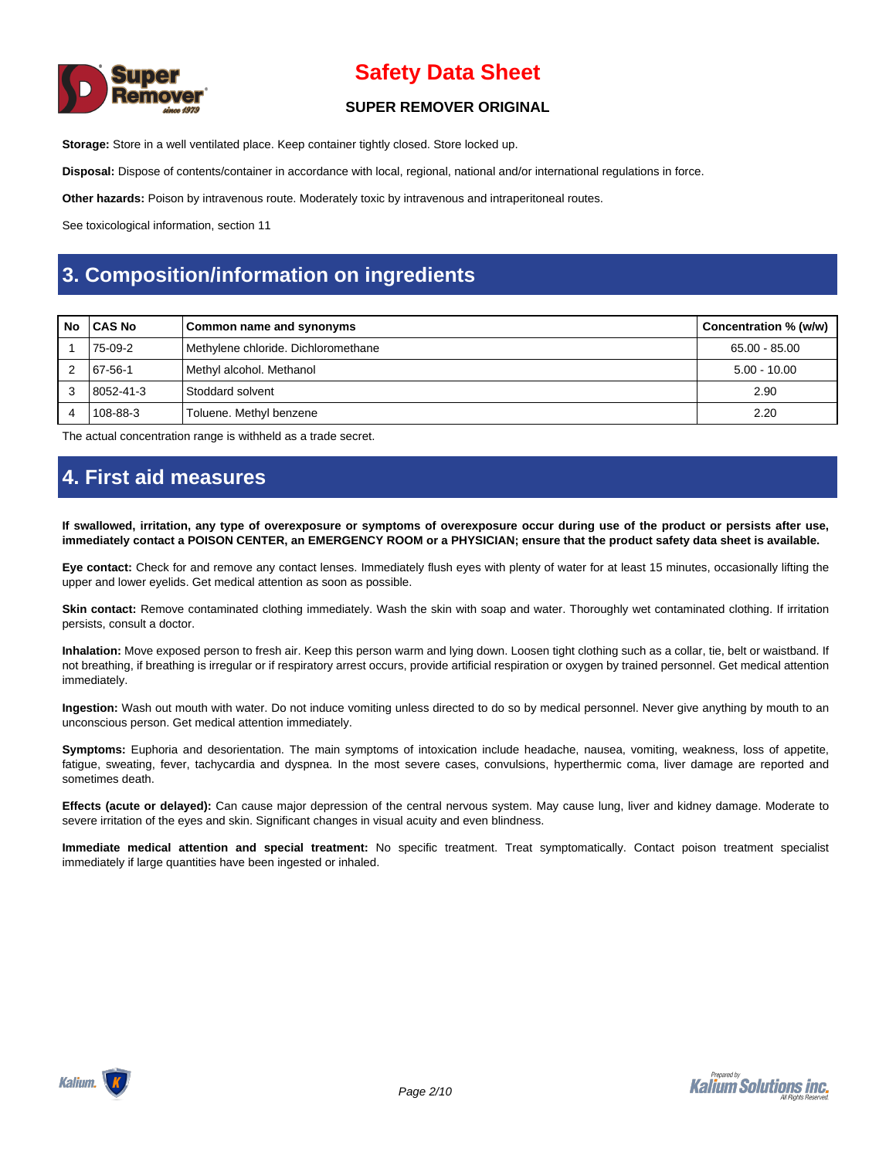

#### **SUPER REMOVER ORIGINAL**

**Storage:** Store in a well ventilated place. Keep container tightly closed. Store locked up.

**Disposal:** Dispose of contents/container in accordance with local, regional, national and/or international regulations in force.

**Other hazards:** Poison by intravenous route. Moderately toxic by intravenous and intraperitoneal routes.

See toxicological information, section 11

### **3. Composition/information on ingredients**

| No | l CAS No  | Common name and synonyms            | Concentration % (w/w) |
|----|-----------|-------------------------------------|-----------------------|
|    | 75-09-2   | Methylene chloride. Dichloromethane | 65.00 - 85.00         |
|    | 67-56-1   | Methyl alcohol. Methanol            | $5.00 - 10.00$        |
|    | 8052-41-3 | l Stoddard solvent                  | 2.90                  |
|    | 108-88-3  | Toluene. Methyl benzene             | 2.20                  |

The actual concentration range is withheld as a trade secret.

### **4. First aid measures**

**If swallowed, irritation, any type of overexposure or symptoms of overexposure occur during use of the product or persists after use, immediately contact a POISON CENTER, an EMERGENCY ROOM or a PHYSICIAN; ensure that the product safety data sheet is available.**

**Eye contact:** Check for and remove any contact lenses. Immediately flush eyes with plenty of water for at least 15 minutes, occasionally lifting the upper and lower eyelids. Get medical attention as soon as possible.

Skin contact: Remove contaminated clothing immediately. Wash the skin with soap and water. Thoroughly wet contaminated clothing. If irritation persists, consult a doctor.

**Inhalation:** Move exposed person to fresh air. Keep this person warm and lying down. Loosen tight clothing such as a collar, tie, belt or waistband. If not breathing, if breathing is irregular or if respiratory arrest occurs, provide artificial respiration or oxygen by trained personnel. Get medical attention immediately.

**Ingestion:** Wash out mouth with water. Do not induce vomiting unless directed to do so by medical personnel. Never give anything by mouth to an unconscious person. Get medical attention immediately.

**Symptoms:** Euphoria and desorientation. The main symptoms of intoxication include headache, nausea, vomiting, weakness, loss of appetite, fatigue, sweating, fever, tachycardia and dyspnea. In the most severe cases, convulsions, hyperthermic coma, liver damage are reported and sometimes death.

**Effects (acute or delayed):** Can cause major depression of the central nervous system. May cause lung, liver and kidney damage. Moderate to severe irritation of the eyes and skin. Significant changes in visual acuity and even blindness.

**Immediate medical attention and special treatment:** No specific treatment. Treat symptomatically. Contact poison treatment specialist immediately if large quantities have been ingested or inhaled.

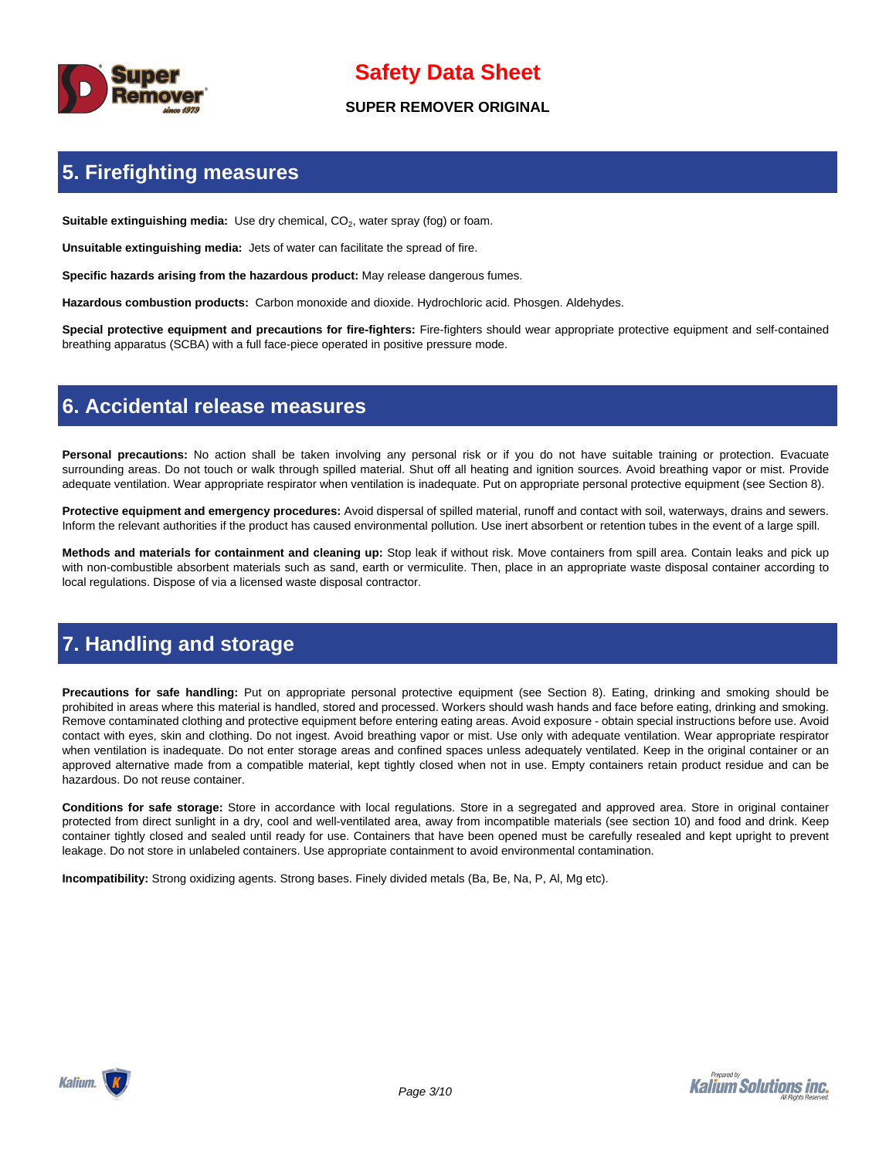

#### **SUPER REMOVER ORIGINAL**

## **5. Firefighting measures**

Suitable extinguishing media: Use dry chemical, CO<sub>2</sub>, water spray (fog) or foam.

**Unsuitable extinguishing media:** Jets of water can facilitate the spread of fire.

**Specific hazards arising from the hazardous product:** May release dangerous fumes.

**Hazardous combustion products:** Carbon monoxide and dioxide. Hydrochloric acid. Phosgen. Aldehydes.

**Special protective equipment and precautions for fire-fighters:** Fire-fighters should wear appropriate protective equipment and self-contained breathing apparatus (SCBA) with a full face-piece operated in positive pressure mode.

### **6. Accidental release measures**

**Personal precautions:** No action shall be taken involving any personal risk or if you do not have suitable training or protection. Evacuate surrounding areas. Do not touch or walk through spilled material. Shut off all heating and ignition sources. Avoid breathing vapor or mist. Provide adequate ventilation. Wear appropriate respirator when ventilation is inadequate. Put on appropriate personal protective equipment (see Section 8).

**Protective equipment and emergency procedures:** Avoid dispersal of spilled material, runoff and contact with soil, waterways, drains and sewers. Inform the relevant authorities if the product has caused environmental pollution. Use inert absorbent or retention tubes in the event of a large spill.

**Methods and materials for containment and cleaning up:** Stop leak if without risk. Move containers from spill area. Contain leaks and pick up with non-combustible absorbent materials such as sand, earth or vermiculite. Then, place in an appropriate waste disposal container according to local regulations. Dispose of via a licensed waste disposal contractor.

## **7. Handling and storage**

**Precautions for safe handling:** Put on appropriate personal protective equipment (see Section 8). Eating, drinking and smoking should be prohibited in areas where this material is handled, stored and processed. Workers should wash hands and face before eating, drinking and smoking. Remove contaminated clothing and protective equipment before entering eating areas. Avoid exposure - obtain special instructions before use. Avoid contact with eyes, skin and clothing. Do not ingest. Avoid breathing vapor or mist. Use only with adequate ventilation. Wear appropriate respirator when ventilation is inadequate. Do not enter storage areas and confined spaces unless adequately ventilated. Keep in the original container or an approved alternative made from a compatible material, kept tightly closed when not in use. Empty containers retain product residue and can be hazardous. Do not reuse container.

**Conditions for safe storage:** Store in accordance with local regulations. Store in a segregated and approved area. Store in original container protected from direct sunlight in a dry, cool and well-ventilated area, away from incompatible materials (see section 10) and food and drink. Keep container tightly closed and sealed until ready for use. Containers that have been opened must be carefully resealed and kept upright to prevent leakage. Do not store in unlabeled containers. Use appropriate containment to avoid environmental contamination.

**Incompatibility:** Strong oxidizing agents. Strong bases. Finely divided metals (Ba, Be, Na, P, Al, Mg etc).

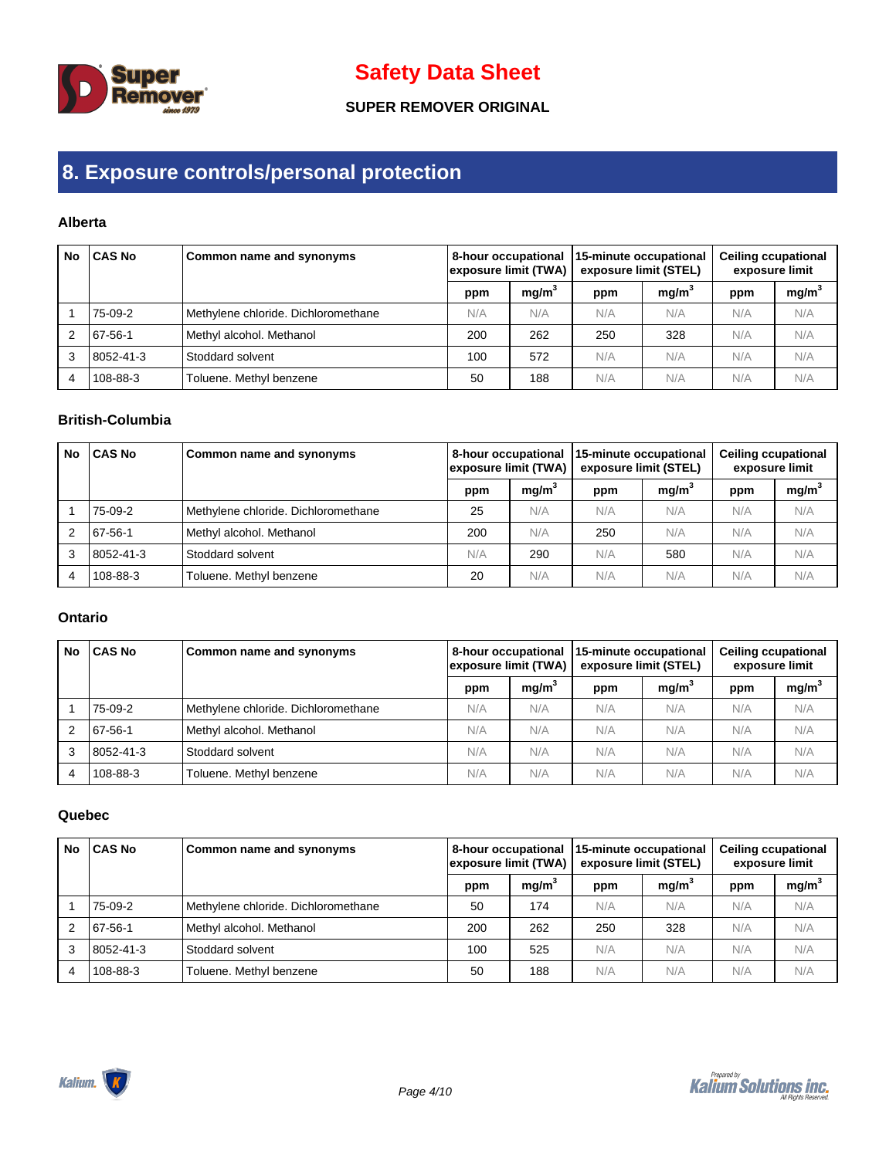

### **SUPER REMOVER ORIGINAL**

## **8. Exposure controls/personal protection**

### **Alberta**

| No | <b>CAS No</b> | <b>Common name and synonyms</b>     | 8-hour occupational<br>exposure limit (TWA) |                   | 15-minute occupational<br>exposure limit (STEL) |                   |     | <b>Ceiling ccupational</b><br>exposure limit |  |
|----|---------------|-------------------------------------|---------------------------------------------|-------------------|-------------------------------------------------|-------------------|-----|----------------------------------------------|--|
|    |               |                                     | ppm                                         | mq/m <sup>3</sup> | ppm                                             | mq/m <sup>3</sup> | ppm | mg/m <sup>3</sup>                            |  |
|    | 75-09-2       | Methylene chloride. Dichloromethane | N/A                                         | N/A               | N/A                                             | N/A               | N/A | N/A                                          |  |
|    | 67-56-1       | Methyl alcohol. Methanol            | 200                                         | 262               | 250                                             | 328               | N/A | N/A                                          |  |
| 3  | 8052-41-3     | Stoddard solvent                    | 100                                         | 572               | N/A                                             | N/A               | N/A | N/A                                          |  |
| 4  | 108-88-3      | Toluene. Methyl benzene             | 50                                          | 188               | N/A                                             | N/A               | N/A | N/A                                          |  |

### **British-Columbia**

| <b>No</b> | <b>CAS No</b> | Common name and synonyms            | 8-hour occupational<br>exposure limit (TWA) |                   | 15-minute occupational<br>exposure limit (STEL) |                   | <b>Ceiling ccupational</b><br>exposure limit |                   |
|-----------|---------------|-------------------------------------|---------------------------------------------|-------------------|-------------------------------------------------|-------------------|----------------------------------------------|-------------------|
|           |               |                                     | ppm                                         | mq/m <sup>3</sup> | ppm                                             | mq/m <sup>3</sup> | ppm                                          | mg/m <sup>3</sup> |
|           | 75-09-2       | Methylene chloride. Dichloromethane | 25                                          | N/A               | N/A                                             | N/A               | N/A                                          | N/A               |
|           | 67-56-1       | Methyl alcohol. Methanol            | 200                                         | N/A               | 250                                             | N/A               | N/A                                          | N/A               |
| 3         | 8052-41-3     | Stoddard solvent                    | N/A                                         | 290               | N/A                                             | 580               | N/A                                          | N/A               |
| 4         | 108-88-3      | Toluene. Methyl benzene             | 20                                          | N/A               | N/A                                             | N/A               | N/A                                          | N/A               |

#### **Ontario**

| No | <b>CAS No</b> | Common name and synonyms            | 8-hour occupational<br>exposure limit (TWA) |                   | 15-minute occupational<br>exposure limit (STEL) |                   |     | <b>Ceiling ccupational</b><br>exposure limit |  |
|----|---------------|-------------------------------------|---------------------------------------------|-------------------|-------------------------------------------------|-------------------|-----|----------------------------------------------|--|
|    |               |                                     | ppm                                         | mq/m <sup>3</sup> | ppm                                             | mq/m <sup>3</sup> | ppm | mg/m <sup>3</sup>                            |  |
|    | 75-09-2       | Methylene chloride. Dichloromethane | N/A                                         | N/A               | N/A                                             | N/A               | N/A | N/A                                          |  |
|    | 67-56-1       | Methyl alcohol. Methanol            | N/A                                         | N/A               | N/A                                             | N/A               | N/A | N/A                                          |  |
| 3  | 8052-41-3     | <b>Stoddard solvent</b>             | N/A                                         | N/A               | N/A                                             | N/A               | N/A | N/A                                          |  |
|    | 108-88-3      | Toluene. Methyl benzene             | N/A                                         | N/A               | N/A                                             | N/A               | N/A | N/A                                          |  |

#### **Quebec**

| No            | CAS No    | Common name and synonyms            | 8-hour occupational<br>exposure limit (TWA) |                   | 15-minute occupational<br>exposure limit (STEL) |                   |     | <b>Ceiling ccupational</b><br>exposure limit |  |
|---------------|-----------|-------------------------------------|---------------------------------------------|-------------------|-------------------------------------------------|-------------------|-----|----------------------------------------------|--|
|               |           |                                     | ppm                                         | mq/m <sup>3</sup> | ppm                                             | mq/m <sup>3</sup> | ppm | mg/m <sup>3</sup>                            |  |
|               | 75-09-2   | Methylene chloride. Dichloromethane | 50                                          | 174               | N/A                                             | N/A               | N/A | N/A                                          |  |
| $\mathcal{P}$ | 67-56-1   | Methyl alcohol. Methanol            | 200                                         | 262               | 250                                             | 328               | N/A | N/A                                          |  |
| 3             | 8052-41-3 | Stoddard solvent                    | 100                                         | 525               | N/A                                             | N/A               | N/A | N/A                                          |  |
| 4             | 108-88-3  | Toluene. Methyl benzene             | 50                                          | 188               | N/A                                             | N/A               | N/A | N/A                                          |  |

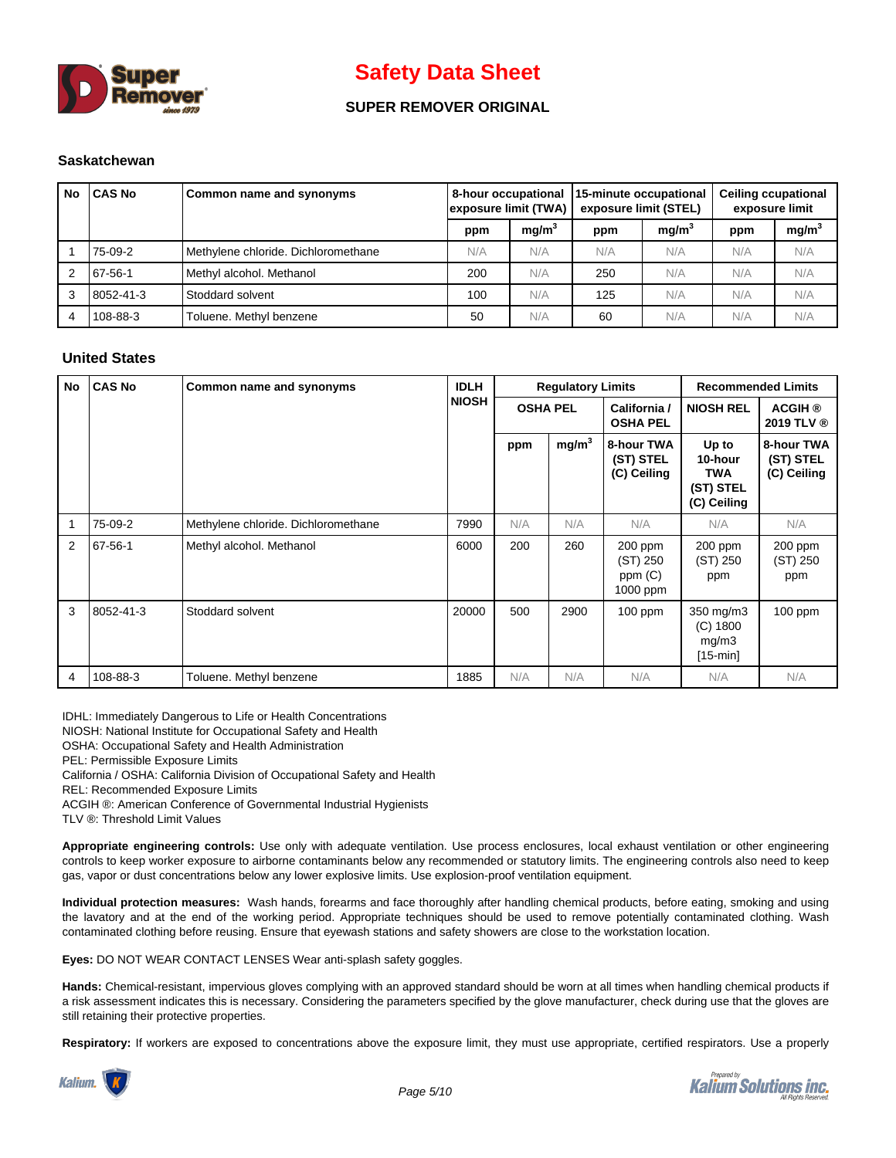

### **SUPER REMOVER ORIGINAL**

#### **Saskatchewan**

| <b>No</b> | <b>CAS No</b> | Common name and synonyms            | exposure limit (TWA) |                   | 8-hour occupational 15-minute occupational<br>exposure limit (STEL) |                   |     | <b>Ceiling ccupational</b><br>exposure limit |  |
|-----------|---------------|-------------------------------------|----------------------|-------------------|---------------------------------------------------------------------|-------------------|-----|----------------------------------------------|--|
|           |               |                                     | ppm                  | mq/m <sup>3</sup> | ppm                                                                 | mg/m <sup>3</sup> | ppm | mg/m <sup>3</sup>                            |  |
|           | 75-09-2       | Methylene chloride. Dichloromethane | N/A                  | N/A               | N/A                                                                 | N/A               | N/A | N/A                                          |  |
| 2         | 67-56-1       | Methyl alcohol. Methanol            | 200                  | N/A               | 250                                                                 | N/A               | N/A | N/A                                          |  |
| 3         | 8052-41-3     | Stoddard solvent                    | 100                  | N/A               | 125                                                                 | N/A               | N/A | N/A                                          |  |
| 4         | 108-88-3      | Toluene. Methyl benzene             | 50                   | N/A               | 60                                                                  | N/A               | N/A | N/A                                          |  |

#### **United States**

| No | <b>CAS No</b> | Common name and synonyms            | <b>IDLH</b>  |                 | <b>Regulatory Limits</b> |                                             | <b>Recommended Limits</b>                           |                                        |
|----|---------------|-------------------------------------|--------------|-----------------|--------------------------|---------------------------------------------|-----------------------------------------------------|----------------------------------------|
|    |               |                                     | <b>NIOSH</b> | <b>OSHA PEL</b> |                          | California /<br><b>OSHA PEL</b>             | <b>NIOSH REL</b>                                    | <b>ACGIH</b> ®<br>2019 TLV ®           |
|    |               |                                     |              | ppm             | mg/m <sup>3</sup>        | 8-hour TWA<br>(ST) STEL<br>(C) Ceiling      | Up to<br>10-hour<br>TWA<br>(ST) STEL<br>(C) Ceiling | 8-hour TWA<br>(ST) STEL<br>(C) Ceiling |
| 1  | 75-09-2       | Methylene chloride. Dichloromethane | 7990         | N/A             | N/A                      | N/A                                         | N/A                                                 | N/A                                    |
| 2  | 67-56-1       | Methyl alcohol. Methanol            | 6000         | 200             | 260                      | $200$ ppm<br>(ST) 250<br>ppm(C)<br>1000 ppm | 200 ppm<br>(ST) 250<br>ppm                          | 200 ppm<br>(ST) 250<br>ppm             |
| 3  | 8052-41-3     | Stoddard solvent                    | 20000        | 500             | 2900                     | $100$ ppm                                   | 350 mg/m3<br>$(C)$ 1800<br>mg/m3<br>$[15-min]$      | $100$ ppm                              |
| 4  | 108-88-3      | Toluene. Methyl benzene             | 1885         | N/A             | N/A                      | N/A                                         | N/A                                                 | N/A                                    |

IDHL: Immediately Dangerous to Life or Health Concentrations

NIOSH: National Institute for Occupational Safety and Health

OSHA: Occupational Safety and Health Administration

PEL: Permissible Exposure Limits

California / OSHA: California Division of Occupational Safety and Health

REL: Recommended Exposure Limits

ACGIH ®: American Conference of Governmental Industrial Hygienists

TLV ®: Threshold Limit Values

**Appropriate engineering controls:** Use only with adequate ventilation. Use process enclosures, local exhaust ventilation or other engineering controls to keep worker exposure to airborne contaminants below any recommended or statutory limits. The engineering controls also need to keep gas, vapor or dust concentrations below any lower explosive limits. Use explosion-proof ventilation equipment.

**Individual protection measures:** Wash hands, forearms and face thoroughly after handling chemical products, before eating, smoking and using the lavatory and at the end of the working period. Appropriate techniques should be used to remove potentially contaminated clothing. Wash contaminated clothing before reusing. Ensure that eyewash stations and safety showers are close to the workstation location.

**Eyes:** DO NOT WEAR CONTACT LENSES Wear anti-splash safety goggles.

**Hands:** Chemical-resistant, impervious gloves complying with an approved standard should be worn at all times when handling chemical products if a risk assessment indicates this is necessary. Considering the parameters specified by the glove manufacturer, check during use that the gloves are still retaining their protective properties.

**Respiratory:** If workers are exposed to concentrations above the exposure limit, they must use appropriate, certified respirators. Use a properly



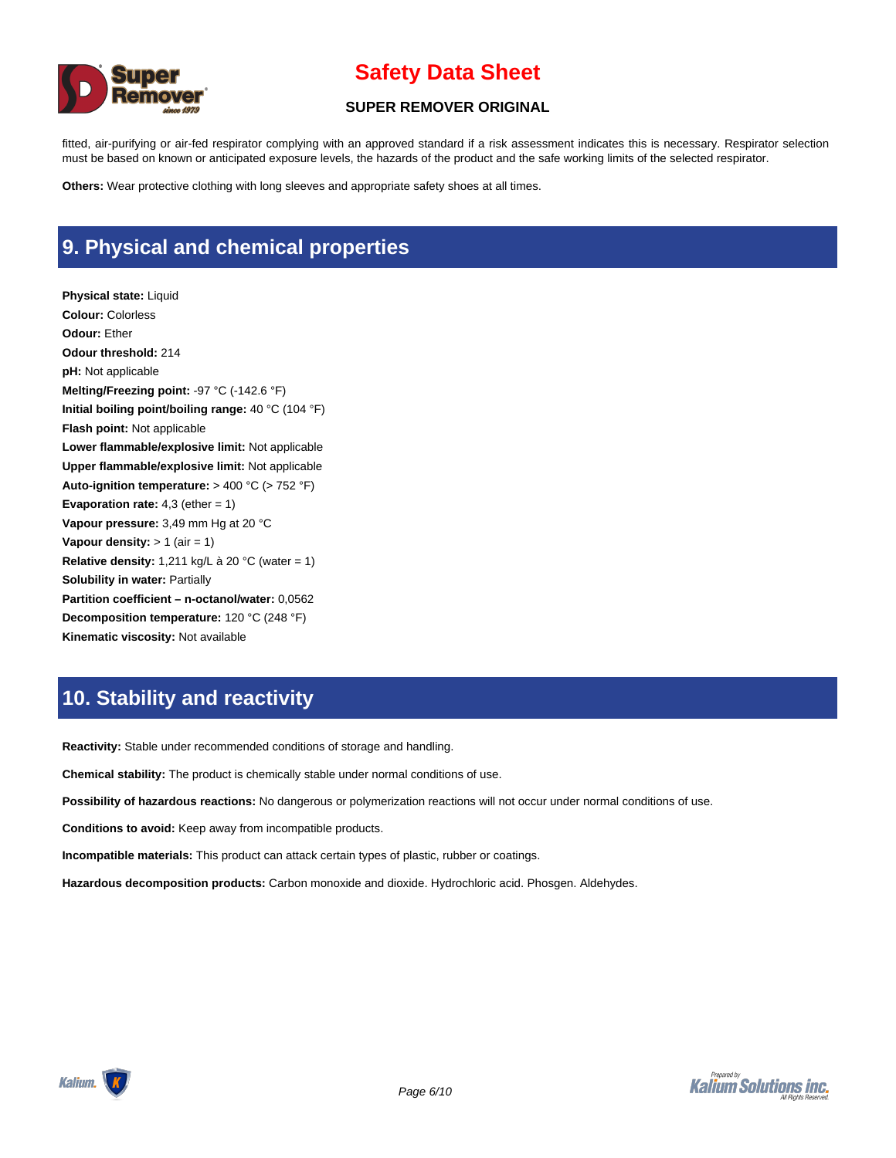

#### **SUPER REMOVER ORIGINAL**

fitted, air-purifying or air-fed respirator complying with an approved standard if a risk assessment indicates this is necessary. Respirator selection must be based on known or anticipated exposure levels, the hazards of the product and the safe working limits of the selected respirator.

**Others:** Wear protective clothing with long sleeves and appropriate safety shoes at all times.

# **9. Physical and chemical properties**

**Physical state:** Liquid **Colour:** Colorless **Odour:** Ether **Odour threshold:** 214 **pH:** Not applicable **Melting/Freezing point:** -97 °C (-142.6 °F) **Initial boiling point/boiling range:** 40 °C (104 °F) **Flash point:** Not applicable **Lower flammable/explosive limit:** Not applicable **Upper flammable/explosive limit:** Not applicable **Auto-ignition temperature:** > 400 °C (> 752 °F) **Evaporation rate:** 4,3 (ether = 1) **Vapour pressure:** 3,49 mm Hg at 20 °C **Vapour density:**  $> 1$  (air = 1) **Relative density:** 1,211 kg/L à 20 °C (water = 1) **Solubility in water:** Partially **Partition coefficient – n-octanol/water:** 0,0562 **Decomposition temperature:** 120 °C (248 °F) **Kinematic viscosity:** Not available

### **10. Stability and reactivity**

**Reactivity:** Stable under recommended conditions of storage and handling.

**Chemical stability:** The product is chemically stable under normal conditions of use.

**Possibility of hazardous reactions:** No dangerous or polymerization reactions will not occur under normal conditions of use.

**Conditions to avoid:** Keep away from incompatible products.

**Incompatible materials:** This product can attack certain types of plastic, rubber or coatings.

**Hazardous decomposition products:** Carbon monoxide and dioxide. Hydrochloric acid. Phosgen. Aldehydes.

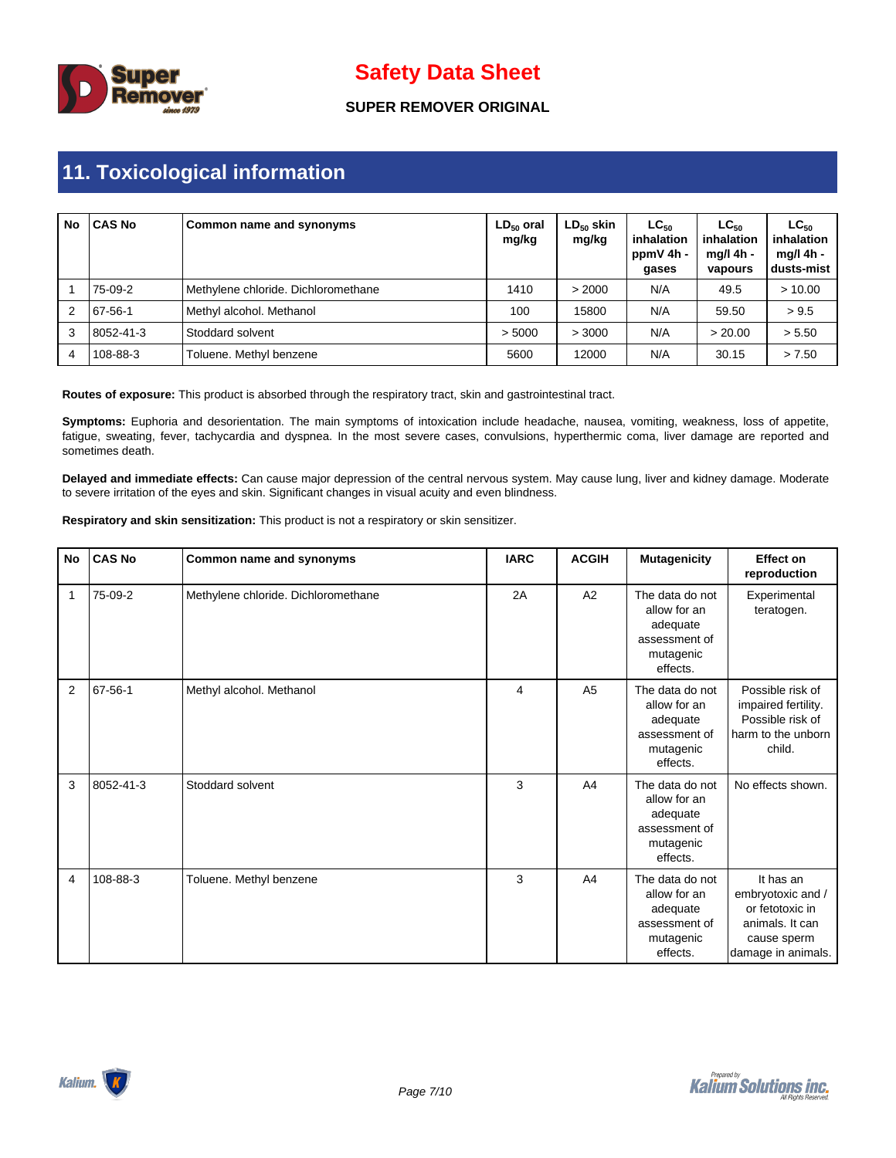

### **SUPER REMOVER ORIGINAL**

# **11. Toxicological information**

| No | <b>CAS No</b> | Common name and synonyms            | $LD_{50}$ oral<br>mg/kg | $LD_{50}$ skin<br>mg/kg | $LG_{50}$<br>inhalation<br>ppmV 4h -<br>gases | $LC_{50}$<br>inhalation<br>ma/l 4h -<br>vapours | $LC_{50}$<br>inhalation<br>mg/l 4h -<br>dusts-mist |
|----|---------------|-------------------------------------|-------------------------|-------------------------|-----------------------------------------------|-------------------------------------------------|----------------------------------------------------|
|    | 75-09-2       | Methylene chloride. Dichloromethane | 1410                    | > 2000                  | N/A                                           | 49.5                                            | > 10.00                                            |
| 2  | 67-56-1       | Methyl alcohol. Methanol            | 100                     | 15800                   | N/A                                           | 59.50                                           | > 9.5                                              |
| 3  | 18052-41-3    | Stoddard solvent                    | > 5000                  | > 3000                  | N/A                                           | > 20.00                                         | > 5.50                                             |
| 4  | 108-88-3      | Toluene. Methyl benzene             | 5600                    | 12000                   | N/A                                           | 30.15                                           | > 7.50                                             |

**Routes of exposure:** This product is absorbed through the respiratory tract, skin and gastrointestinal tract.

**Symptoms:** Euphoria and desorientation. The main symptoms of intoxication include headache, nausea, vomiting, weakness, loss of appetite, fatigue, sweating, fever, tachycardia and dyspnea. In the most severe cases, convulsions, hyperthermic coma, liver damage are reported and sometimes death.

**Delayed and immediate effects:** Can cause major depression of the central nervous system. May cause lung, liver and kidney damage. Moderate to severe irritation of the eyes and skin. Significant changes in visual acuity and even blindness.

**Respiratory and skin sensitization:** This product is not a respiratory or skin sensitizer.

| <b>No</b>      | <b>CAS No</b> | Common name and synonyms            | <b>IARC</b> | <b>ACGIH</b>   | <b>Mutagenicity</b>                                                                   | <b>Effect on</b><br>reproduction                                                                          |
|----------------|---------------|-------------------------------------|-------------|----------------|---------------------------------------------------------------------------------------|-----------------------------------------------------------------------------------------------------------|
| 1              | 75-09-2       | Methylene chloride. Dichloromethane | 2A          | A2             | The data do not<br>allow for an<br>adequate<br>assessment of<br>mutagenic<br>effects. | Experimental<br>teratogen.                                                                                |
| $\overline{2}$ | $67 - 56 - 1$ | Methyl alcohol. Methanol            | 4           | A <sub>5</sub> | The data do not<br>allow for an<br>adequate<br>assessment of<br>mutagenic<br>effects. | Possible risk of<br>impaired fertility.<br>Possible risk of<br>harm to the unborn<br>child.               |
| 3              | 8052-41-3     | Stoddard solvent                    | 3           | A <sub>4</sub> | The data do not<br>allow for an<br>adequate<br>assessment of<br>mutagenic<br>effects. | No effects shown.                                                                                         |
| 4              | 108-88-3      | Toluene. Methyl benzene             | 3           | A <sub>4</sub> | The data do not<br>allow for an<br>adequate<br>assessment of<br>mutagenic<br>effects. | It has an<br>embryotoxic and /<br>or fetotoxic in<br>animals. It can<br>cause sperm<br>damage in animals. |

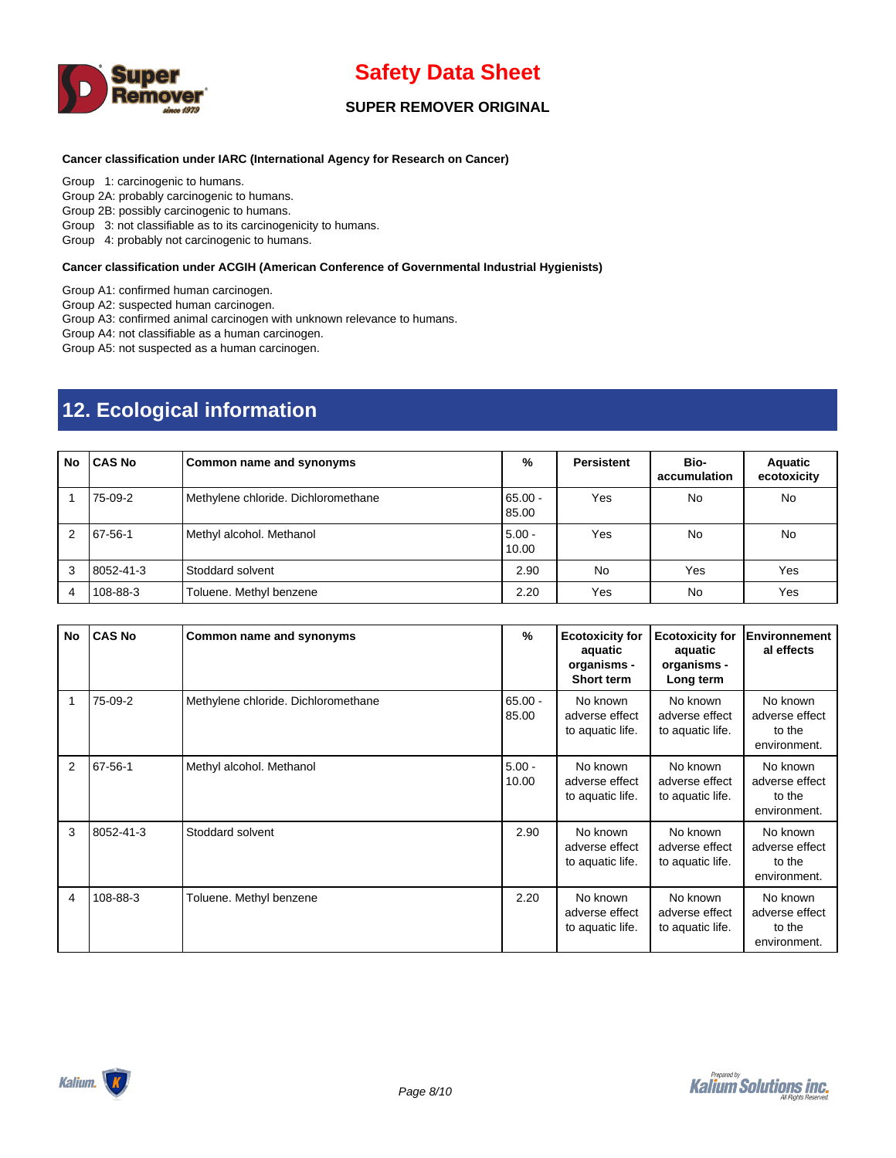

### **SUPER REMOVER ORIGINAL**

#### **Cancer classification under IARC (International Agency for Research on Cancer)**

Group 1: carcinogenic to humans.

Group 2A: probably carcinogenic to humans.

Group 2B: possibly carcinogenic to humans.

Group 3: not classifiable as to its carcinogenicity to humans.

Group 4: probably not carcinogenic to humans.

#### **Cancer classification under ACGIH (American Conference of Governmental Industrial Hygienists)**

Group A1: confirmed human carcinogen.

Group A2: suspected human carcinogen.

Group A3: confirmed animal carcinogen with unknown relevance to humans.

Group A4: not classifiable as a human carcinogen.

Group A5: not suspected as a human carcinogen.

# **12. Ecological information**

| No             | <b>CAS No</b> | <b>Common name and synonyms</b>     | %                 | <b>Persistent</b> | Bio-<br>accumulation | Aquatic<br>ecotoxicity |
|----------------|---------------|-------------------------------------|-------------------|-------------------|----------------------|------------------------|
|                | 75-09-2       | Methylene chloride. Dichloromethane | 65.00 -<br>85.00  | Yes               | No                   | No                     |
| $\overline{2}$ | 67-56-1       | Methyl alcohol. Methanol            | $5.00 -$<br>10.00 | Yes               | No                   | No                     |
| 3              | 8052-41-3     | Stoddard solvent                    | 2.90              | No                | Yes                  | Yes                    |
| 4              | 108-88-3      | Toluene. Methyl benzene             | 2.20              | Yes               | No                   | Yes                    |

| No | <b>CAS No</b> | Common name and synonyms            | %                  | <b>Ecotoxicity for</b><br>aquatic<br>organisms -<br><b>Short term</b> | <b>Ecotoxicity for</b><br>aquatic<br>organisms -<br>Long term | <b>Environnement</b><br>al effects                   |
|----|---------------|-------------------------------------|--------------------|-----------------------------------------------------------------------|---------------------------------------------------------------|------------------------------------------------------|
|    | 75-09-2       | Methylene chloride. Dichloromethane | $65.00 -$<br>85.00 | No known<br>adverse effect<br>to aquatic life.                        | No known<br>adverse effect<br>to aquatic life.                | No known<br>adverse effect<br>to the<br>environment. |
| 2  | 67-56-1       | Methyl alcohol. Methanol            | $5.00 -$<br>10.00  | No known<br>adverse effect<br>to aquatic life.                        | No known<br>adverse effect<br>to aquatic life.                | No known<br>adverse effect<br>to the<br>environment. |
| 3  | 8052-41-3     | Stoddard solvent                    | 2.90               | No known<br>adverse effect<br>to aquatic life.                        | No known<br>adverse effect<br>to aquatic life.                | No known<br>adverse effect<br>to the<br>environment. |
| 4  | 108-88-3      | Toluene. Methyl benzene             | 2.20               | No known<br>adverse effect<br>to aquatic life.                        | No known<br>adverse effect<br>to aquatic life.                | No known<br>adverse effect<br>to the<br>environment. |

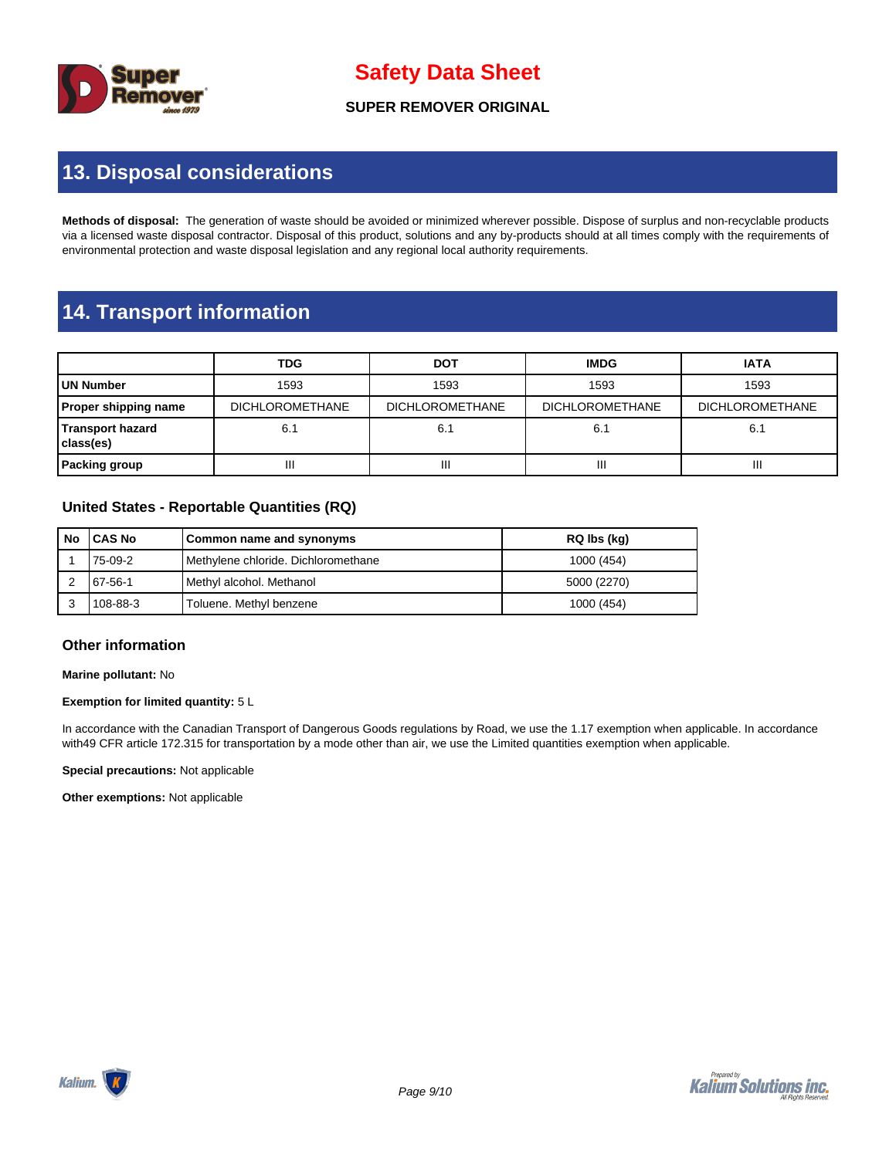

**SUPER REMOVER ORIGINAL**

## **13. Disposal considerations**

**Methods of disposal:** The generation of waste should be avoided or minimized wherever possible. Dispose of surplus and non-recyclable products via a licensed waste disposal contractor. Disposal of this product, solutions and any by-products should at all times comply with the requirements of environmental protection and waste disposal legislation and any regional local authority requirements.

### **14. Transport information**

|                                             | <b>TDG</b>             | <b>DOT</b>             | <b>IMDG</b>            | <b>IATA</b>            |  |
|---------------------------------------------|------------------------|------------------------|------------------------|------------------------|--|
| UN Number                                   | 1593                   | 1593                   | 1593                   | 1593                   |  |
| <b>Proper shipping name</b>                 | <b>DICHLOROMETHANE</b> | <b>DICHLOROMETHANE</b> | <b>DICHLOROMETHANE</b> | <b>DICHLOROMETHANE</b> |  |
| 6.1<br><b>Transport hazard</b><br>class(es) |                        | 6.1                    | 6.1                    | 6.1                    |  |
| <b>Packing group</b>                        | Ш                      | Ш                      | Ш                      | Ш                      |  |

### **United States - Reportable Quantities (RQ)**

| No | <b>ICAS No</b> | Common name and synonyms            | RQ lbs (kg) |
|----|----------------|-------------------------------------|-------------|
|    | 75-09-2        | Methylene chloride. Dichloromethane | 1000 (454)  |
|    | 67-56-1        | Methyl alcohol. Methanol            | 5000 (2270) |
|    | 108-88-3       | Toluene. Methyl benzene             | 1000 (454)  |

#### **Other information**

**Marine pollutant:** No

#### **Exemption for limited quantity:** 5 L

In accordance with the Canadian Transport of Dangerous Goods regulations by Road, we use the 1.17 exemption when applicable. In accordance with49 CFR article 172.315 for transportation by a mode other than air, we use the Limited quantities exemption when applicable.

**Special precautions:** Not applicable

**Other exemptions:** Not applicable